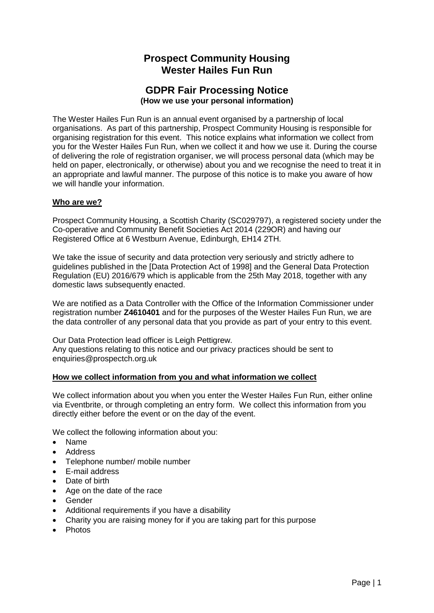# **Prospect Community Housing Wester Hailes Fun Run**

## **GDPR Fair Processing Notice (How we use your personal information)**

The Wester Hailes Fun Run is an annual event organised by a partnership of local organisations. As part of this partnership, Prospect Community Housing is responsible for organising registration for this event. This notice explains what information we collect from you for the Wester Hailes Fun Run, when we collect it and how we use it. During the course of delivering the role of registration organiser, we will process personal data (which may be held on paper, electronically, or otherwise) about you and we recognise the need to treat it in an appropriate and lawful manner. The purpose of this notice is to make you aware of how we will handle your information.

### **Who are we?**

Prospect Community Housing, a Scottish Charity (SC029797), a registered society under the Co-operative and Community Benefit Societies Act 2014 (229OR) and having our Registered Office at 6 Westburn Avenue, Edinburgh, EH14 2TH.

We take the issue of security and data protection very seriously and strictly adhere to guidelines published in the [Data Protection Act of 1998] and the General Data Protection Regulation (EU) 2016/679 which is applicable from the 25th May 2018, together with any domestic laws subsequently enacted.

We are notified as a Data Controller with the Office of the Information Commissioner under registration number **Z4610401** and for the purposes of the Wester Hailes Fun Run, we are the data controller of any personal data that you provide as part of your entry to this event.

Our Data Protection lead officer is Leigh Pettigrew. Any questions relating to this notice and our privacy practices should be sent to enquiries@prospectch.org.uk

#### **How we collect information from you and what information we collect**

We collect information about you when you enter the Wester Hailes Fun Run, either online via Eventbrite, or through completing an entry form. We collect this information from you directly either before the event or on the day of the event.

We collect the following information about you:

- Name
- Address
- Telephone number/ mobile number
- E-mail address
- Date of birth
- Age on the date of the race
- Gender
- Additional requirements if you have a disability
- Charity you are raising money for if you are taking part for this purpose
- Photos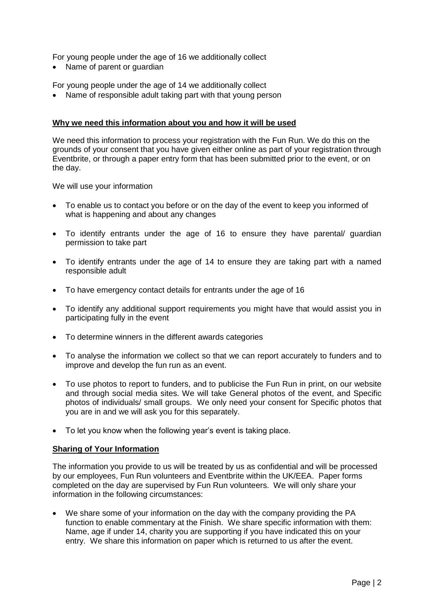For young people under the age of 16 we additionally collect

• Name of parent or guardian

For young people under the age of 14 we additionally collect

• Name of responsible adult taking part with that young person

#### **Why we need this information about you and how it will be used**

We need this information to process your registration with the Fun Run. We do this on the grounds of your consent that you have given either online as part of your registration through Eventbrite, or through a paper entry form that has been submitted prior to the event, or on the day.

We will use your information

- To enable us to contact you before or on the day of the event to keep you informed of what is happening and about any changes
- To identify entrants under the age of 16 to ensure they have parental/ guardian permission to take part
- To identify entrants under the age of 14 to ensure they are taking part with a named responsible adult
- To have emergency contact details for entrants under the age of 16
- To identify any additional support requirements you might have that would assist you in participating fully in the event
- To determine winners in the different awards categories
- To analyse the information we collect so that we can report accurately to funders and to improve and develop the fun run as an event.
- To use photos to report to funders, and to publicise the Fun Run in print, on our website and through social media sites. We will take General photos of the event, and Specific photos of individuals/ small groups. We only need your consent for Specific photos that you are in and we will ask you for this separately.
- To let you know when the following year's event is taking place.

#### **Sharing of Your Information**

The information you provide to us will be treated by us as confidential and will be processed by our employees, Fun Run volunteers and Eventbrite within the UK/EEA. Paper forms completed on the day are supervised by Fun Run volunteers. We will only share your information in the following circumstances:

• We share some of your information on the day with the company providing the PA function to enable commentary at the Finish. We share specific information with them: Name, age if under 14, charity you are supporting if you have indicated this on your entry. We share this information on paper which is returned to us after the event.